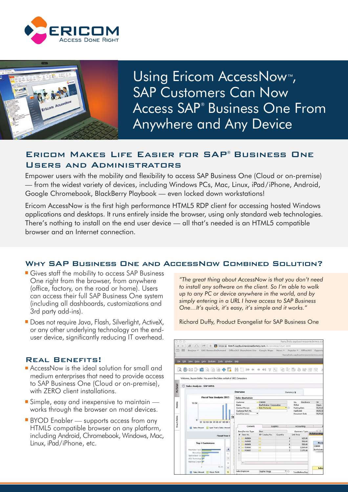



Using Ericom AccessNow<sup>™</sup>, **SAP Customers Can Now** Access SAP<sup>®</sup> Business One From **Anywhere and Any Device** 

# ERICOM MAKES LIFE EASIER FOR SAP® BUSINESS ONE **USERS AND ADMINISTRATORS**

Empower users with the mobility and flexibility to access SAP Business One (Cloud or on-premise) - from the widest variety of devices, including Windows PCs, Mac, Linux, iPad/iPhone, Android, Google Chromebook, BlackBerry Playbook — even locked down workstations!

Ericom AccessNow is the first high performance HTML5 RDP client for accessing hosted Windows applications and desktops. It runs entirely inside the browser, using only standard web technologies. There's nothing to install on the end user device — all that's needed is an HTML5 compatible browser and an Internet connection.

## WHY SAP BUSINESS ONE AND ACCESSNOW COMBINED SOLUTION?

- Gives staff the mobility to access SAP Business One right from the browser, from anywhere (office, factory, on the road or home). Users can access their full SAP Business One system (including all dashboards, customizations and 3rd party add-ins).
- Does not require Java, Flash, Silverlight, ActiveX, or any other underlying technology on the enduser device, significantly reducing IT overhead.

### **REAL BENEFITS!**

- AccessNow is the ideal solution for small and medium enterprises that need to provide access to SAP Business One (Cloud or on-premise), with ZERO client installations.
- Simple, easy and inexpensive to maintain works through the browser on most devices.
- **BYOD** Enabler supports access from any HTML5 compatible browser on any platform, including Android, Chromebook, Windows, Mac, Linux, iPad/iPhone, etc.

"The great thing about AccessNow is that you don't need to install any software on the client. So I'm able to walk up to any PC or device anywhere in the world, and by simply entering in a URL I have access to SAP Business One... It's quick, it's easy, it's simple and it works."

Richard Duffy, Product Evangelist for SAP Business One